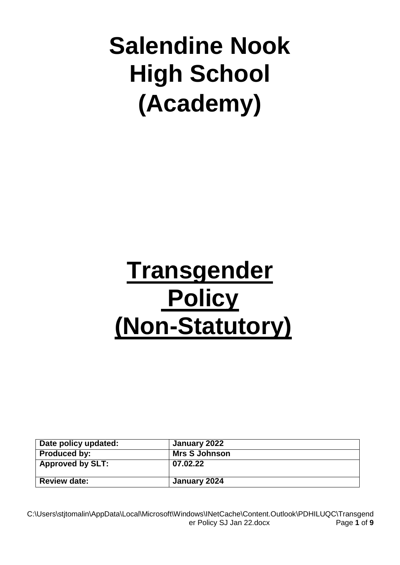# **Salendine Nook High School (Academy)**

# **Transgender Policy (Non-Statutory)**

| Date policy updated:    | January 2022         |
|-------------------------|----------------------|
| <b>Produced by:</b>     | <b>Mrs S Johnson</b> |
| <b>Approved by SLT:</b> | 07.02.22             |
| <b>Review date:</b>     | January 2024         |

C:\Users\stjtomalin\AppData\Local\Microsoft\Windows\INetCache\Content.Outlook\PDHILUQC\Transgend er Policy SJ Jan 22.docx Page **1** of **9**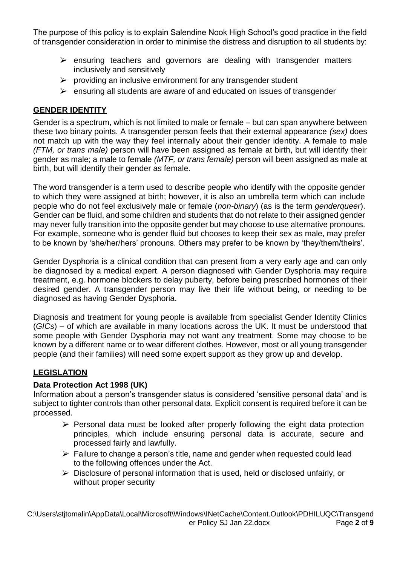The purpose of this policy is to explain Salendine Nook High School's good practice in the field of transgender consideration in order to minimise the distress and disruption to all students by:

- $\triangleright$  ensuring teachers and governors are dealing with transgender matters inclusively and sensitively
- $\triangleright$  providing an inclusive environment for any transgender student
- $\triangleright$  ensuring all students are aware of and educated on issues of transgender

## **GENDER IDENTITY**

Gender is a spectrum, which is not limited to male or female – but can span anywhere between these two binary points. A transgender person feels that their external appearance *(sex)* does not match up with the way they feel internally about their gender identity. A female to male *(FTM, or trans male)* person will have been assigned as female at birth, but will identify their gender as male; a male to female *(MTF, or trans female)* person will been assigned as male at birth, but will identify their gender as female.

The word transgender is a term used to describe people who identify with the opposite gender to which they were assigned at birth; however, it is also an umbrella term which can include people who do not feel exclusively male or female (*non-binary*) (as is the term *genderqueer*). Gender can be fluid, and some children and students that do not relate to their assigned gender may never fully transition into the opposite gender but may choose to use alternative pronouns. For example, someone who is gender fluid but chooses to keep their sex as male, may prefer to be known by 'she/her/hers' pronouns. Others may prefer to be known by 'they/them/theirs'.

Gender Dysphoria is a clinical condition that can present from a very early age and can only be diagnosed by a medical expert. A person diagnosed with Gender Dysphoria may require treatment, e.g. hormone blockers to delay puberty, before being prescribed hormones of their desired gender. A transgender person may live their life without being, or needing to be diagnosed as having Gender Dysphoria.

Diagnosis and treatment for young people is available from specialist Gender Identity Clinics (*GICs*) – of which are available in many locations across the UK. It must be understood that some people with Gender Dysphoria may not want any treatment. Some may choose to be known by a different name or to wear different clothes. However, most or all young transgender people (and their families) will need some expert support as they grow up and develop.

# **LEGISLATION**

## **Data Protection Act 1998 (UK)**

Information about a person's transgender status is considered 'sensitive personal data' and is subject to tighter controls than other personal data. Explicit consent is required before it can be processed.

- $\triangleright$  Personal data must be looked after properly following the eight data protection principles, which include ensuring personal data is accurate, secure and processed fairly and lawfully.
- ➢ Failure to change a person's title, name and gender when requested could lead to the following offences under the Act.
- $\triangleright$  Disclosure of personal information that is used, held or disclosed unfairly, or without proper security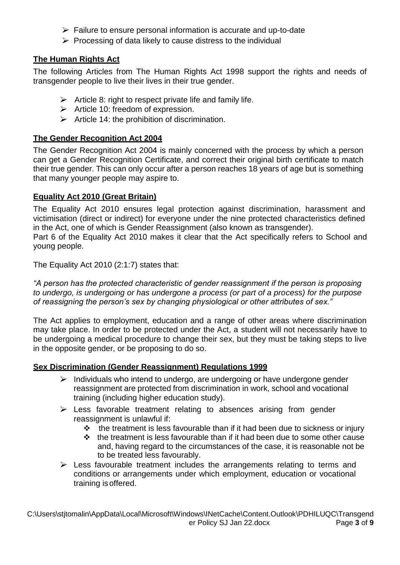- $\triangleright$  Failure to ensure personal information is accurate and up-to-date
- $\triangleright$  Processing of data likely to cause distress to the individual

## **The Human Rights Act**

The following Articles from The Human Rights Act 1998 support the rights and needs of transgender people to live their lives in their true gender.

- $\triangleright$  Article 8: right to respect private life and family life.
- $\triangleright$  Article 10: freedom of expression.
- $\triangleright$  Article 14: the prohibition of discrimination.

## **The Gender Recognition Act 2004**

The Gender Recognition Act 2004 is mainly concerned with the process by which a person can get a Gender Recognition Certificate, and correct their original birth certificate to match their true gender. This can only occur after a person reaches 18 years of age but is something that many younger people may aspire to.

## **Equality Act 2010 (Great Britain)**

The Equality Act 2010 ensures legal protection against discrimination, harassment and victimisation (direct or indirect) for everyone under the nine protected characteristics defined in the Act, one of which is Gender Reassignment (also known as transgender).

Part 6 of the Equality Act 2010 makes it clear that the Act specifically refers to School and young people.

The Equality Act 2010 (2:1:7) states that:

*"A person has the protected characteristic of gender reassignment if the person is proposing to undergo, is undergoing or has undergone a process (or part of a process) for the purpose of reassigning the person's sex by changing physiological or other attributes of sex."*

The Act applies to employment, education and a range of other areas where discrimination may take place. In order to be protected under the Act, a student will not necessarily have to be undergoing a medical procedure to change their sex, but they must be taking steps to live in the opposite gender, or be proposing to do so.

## **Sex Discrimination (Gender Reassignment) Regulations 1999**

- $\triangleright$  Individuals who intend to undergo, are undergoing or have undergone gender reassignment are protected from discrimination in work, school and vocational training (including higher education study).
- $\triangleright$  Less favorable treatment relating to absences arising from gender reassignment is unlawful if:
	- $\div$  the treatment is less favourable than if it had been due to sickness or injury
	- ❖ the treatment is less favourable than if it had been due to some other cause and, having regard to the circumstances of the case, it is reasonable not be to be treated less favourably.
- $\triangleright$  Less favourable treatment includes the arrangements relating to terms and conditions or arrangements under which employment, education or vocational training isoffered.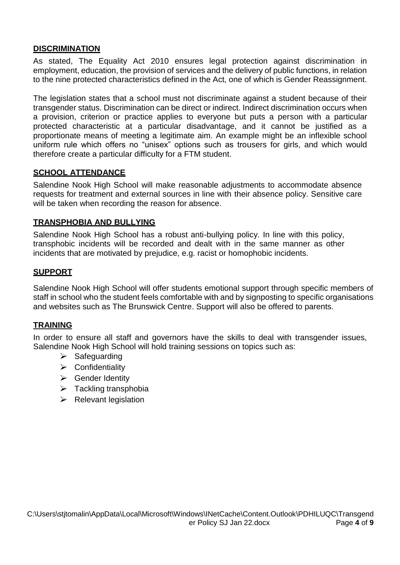#### **DISCRIMINATION**

As stated, The Equality Act 2010 ensures legal protection against discrimination in employment, education, the provision of services and the delivery of public functions, in relation to the nine protected characteristics defined in the Act, one of which is Gender Reassignment.

The legislation states that a school must not discriminate against a student because of their transgender status. Discrimination can be direct or indirect. Indirect discrimination occurs when a provision, criterion or practice applies to everyone but puts a person with a particular protected characteristic at a particular disadvantage, and it cannot be justified as a proportionate means of meeting a legitimate aim. An example might be an inflexible school uniform rule which offers no "unisex" options such as trousers for girls, and which would therefore create a particular difficulty for a FTM student.

## **SCHOOL ATTENDANCE**

Salendine Nook High School will make reasonable adjustments to accommodate absence requests for treatment and external sources in line with their absence policy. Sensitive care will be taken when recording the reason for absence.

#### **TRANSPHOBIA AND BULLYING**

Salendine Nook High School has a robust anti-bullying policy. In line with this policy, transphobic incidents will be recorded and dealt with in the same manner as other incidents that are motivated by prejudice, e.g. racist or homophobic incidents.

## **SUPPORT**

Salendine Nook High School will offer students emotional support through specific members of staff in school who the student feels comfortable with and by signposting to specific organisations and websites such as The Brunswick Centre. Support will also be offered to parents.

## **TRAINING**

In order to ensure all staff and governors have the skills to deal with transgender issues, Salendine Nook High School will hold training sessions on topics such as:

- $\triangleright$  Safeguarding
- ➢ Confidentiality
- ➢ Gender Identity
- $\triangleright$  Tackling transphobia
- $\triangleright$  Relevant legislation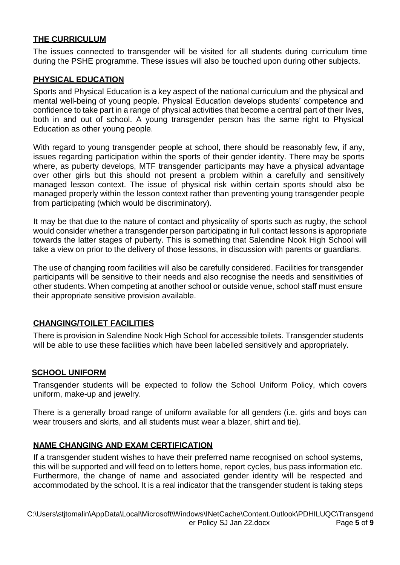## **THE CURRICULUM**

The issues connected to transgender will be visited for all students during curriculum time during the PSHE programme. These issues will also be touched upon during other subjects.

#### **PHYSICAL EDUCATION**

Sports and Physical Education is a key aspect of the national curriculum and the physical and mental well-being of young people. Physical Education develops students' competence and confidence to take part in a range of physical activities that become a central part of their lives, both in and out of school. A young transgender person has the same right to Physical Education as other young people.

With regard to young transgender people at school, there should be reasonably few, if any, issues regarding participation within the sports of their gender identity. There may be sports where, as puberty develops, MTF transgender participants may have a physical advantage over other girls but this should not present a problem within a carefully and sensitively managed lesson context. The issue of physical risk within certain sports should also be managed properly within the lesson context rather than preventing young transgender people from participating (which would be discriminatory).

It may be that due to the nature of contact and physicality of sports such as rugby, the school would consider whether a transgender person participating in full contact lessons is appropriate towards the latter stages of puberty. This is something that Salendine Nook High School will take a view on prior to the delivery of those lessons, in discussion with parents or guardians.

The use of changing room facilities will also be carefully considered. Facilities for transgender participants will be sensitive to their needs and also recognise the needs and sensitivities of other students. When competing at another school or outside venue, school staff must ensure their appropriate sensitive provision available.

## **CHANGING/TOILET FACILITIES**

There is provision in Salendine Nook High School for accessible toilets. Transgender students will be able to use these facilities which have been labelled sensitively and appropriately.

#### **SCHOOL UNIFORM**

Transgender students will be expected to follow the School Uniform Policy, which covers uniform, make-up and jewelry.

There is a generally broad range of uniform available for all genders (i.e. girls and boys can wear trousers and skirts, and all students must wear a blazer, shirt and tie).

## **NAME CHANGING AND EXAM CERTIFICATION**

If a transgender student wishes to have their preferred name recognised on school systems, this will be supported and will feed on to letters home, report cycles, bus pass information etc. Furthermore, the change of name and associated gender identity will be respected and accommodated by the school. It is a real indicator that the transgender student is taking steps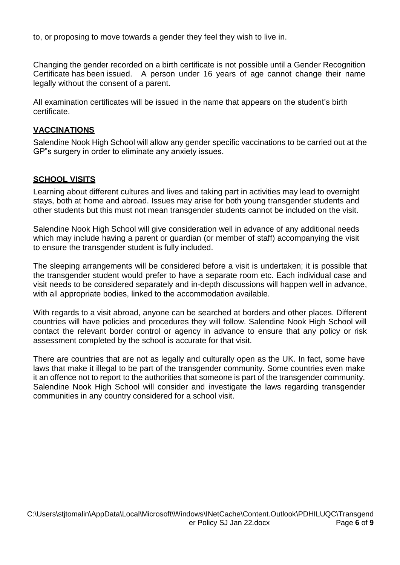to, or proposing to move towards a gender they feel they wish to live in.

Changing the gender recorded on a birth certificate is not possible until a Gender Recognition Certificate has been issued. A person under 16 years of age cannot change their name legally without the consent of a parent.

All examination certificates will be issued in the name that appears on the student's birth certificate.

#### **VACCINATIONS**

Salendine Nook High School will allow any gender specific vaccinations to be carried out at the GP"s surgery in order to eliminate any anxiety issues.

#### **SCHOOL VISITS**

Learning about different cultures and lives and taking part in activities may lead to overnight stays, both at home and abroad. Issues may arise for both young transgender students and other students but this must not mean transgender students cannot be included on the visit.

Salendine Nook High School will give consideration well in advance of any additional needs which may include having a parent or guardian (or member of staff) accompanying the visit to ensure the transgender student is fully included.

The sleeping arrangements will be considered before a visit is undertaken; it is possible that the transgender student would prefer to have a separate room etc. Each individual case and visit needs to be considered separately and in-depth discussions will happen well in advance, with all appropriate bodies, linked to the accommodation available.

With regards to a visit abroad, anyone can be searched at borders and other places. Different countries will have policies and procedures they will follow. Salendine Nook High School will contact the relevant border control or agency in advance to ensure that any policy or risk assessment completed by the school is accurate for that visit.

There are countries that are not as legally and culturally open as the UK. In fact, some have laws that make it illegal to be part of the transgender community. Some countries even make it an offence not to report to the authorities that someone is part of the transgender community. Salendine Nook High School will consider and investigate the laws regarding transgender communities in any country considered for a school visit.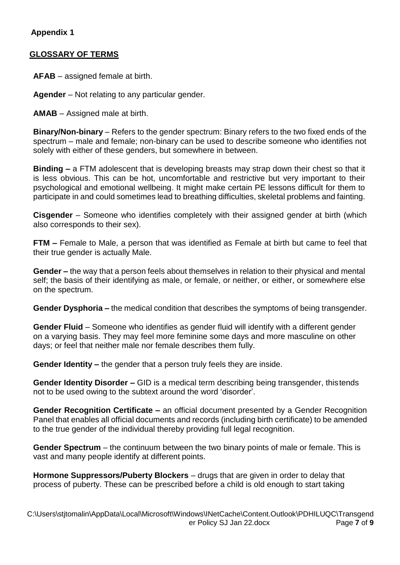# **Appendix 1**

## **GLOSSARY OF TERMS**

**AFAB** – assigned female at birth.

**Agender** – Not relating to any particular gender.

**AMAB** – Assigned male at birth.

**Binary/Non-binary** – Refers to the gender spectrum: Binary refers to the two fixed ends of the spectrum – male and female; non-binary can be used to describe someone who identifies not solely with either of these genders, but somewhere in between.

**Binding –** a FTM adolescent that is developing breasts may strap down their chest so that it is less obvious. This can be hot, uncomfortable and restrictive but very important to their psychological and emotional wellbeing. It might make certain PE lessons difficult for them to participate in and could sometimes lead to breathing difficulties, skeletal problems and fainting.

**Cisgender** – Someone who identifies completely with their assigned gender at birth (which also corresponds to their sex).

**FTM –** Female to Male, a person that was identified as Female at birth but came to feel that their true gender is actually Male.

**Gender –** the way that a person feels about themselves in relation to their physical and mental self; the basis of their identifying as male, or female, or neither, or either, or somewhere else on the spectrum.

**Gender Dysphoria –** the medical condition that describes the symptoms of being transgender.

**Gender Fluid** – Someone who identifies as gender fluid will identify with a different gender on a varying basis. They may feel more feminine some days and more masculine on other days; or feel that neither male nor female describes them fully.

**Gender Identity –** the gender that a person truly feels they are inside.

**Gender Identity Disorder –** GID is a medical term describing being transgender, thistends not to be used owing to the subtext around the word 'disorder'.

**Gender Recognition Certificate –** an official document presented by a Gender Recognition Panel that enables all official documents and records (including birth certificate) to be amended to the true gender of the individual thereby providing full legal recognition.

**Gender Spectrum** – the continuum between the two binary points of male or female. This is vast and many people identify at different points.

**Hormone Suppressors/Puberty Blockers** – drugs that are given in order to delay that process of puberty. These can be prescribed before a child is old enough to start taking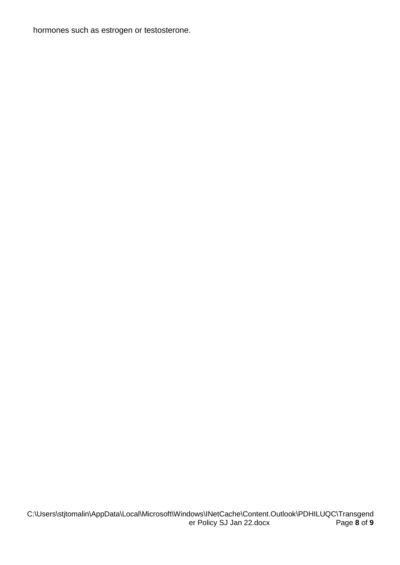hormones such as estrogen or testosterone.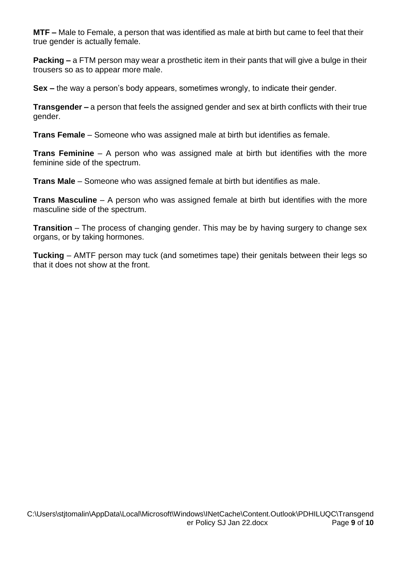**MTF –** Male to Female, a person that was identified as male at birth but came to feel that their true gender is actually female.

**Packing –** a FTM person may wear a prosthetic item in their pants that will give a bulge in their trousers so as to appear more male.

**Sex –** the way a person's body appears, sometimes wrongly, to indicate their gender.

**Transgender –** a person that feels the assigned gender and sex at birth conflicts with their true gender.

**Trans Female** – Someone who was assigned male at birth but identifies as female.

**Trans Feminine** – A person who was assigned male at birth but identifies with the more feminine side of the spectrum.

**Trans Male** – Someone who was assigned female at birth but identifies as male.

**Trans Masculine** – A person who was assigned female at birth but identifies with the more masculine side of the spectrum.

**Transition** – The process of changing gender. This may be by having surgery to change sex organs, or by taking hormones.

**Tucking** – AMTF person may tuck (and sometimes tape) their genitals between their legs so that it does not show at the front.